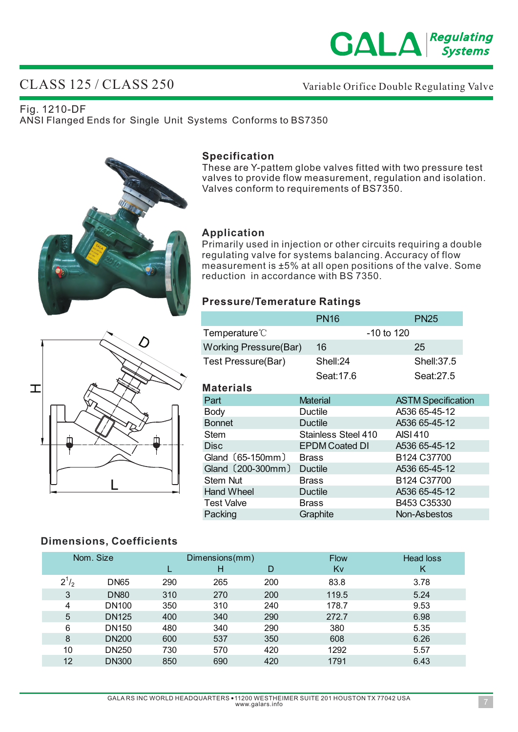

# CLASS 125 / CLASS 250

### Variable Orifice Double Regulating Valve

Fig. 1210-DF ANSI Flanged Ends for Single Unit Systems Conforms to BS7350





**Specification**

#### **Application**

Primarily used in injection or other circuits requiring a double regulating valve for systems balancing. Accuracy of flow measurement is ±5% at all open positions of the valve. Some reduction in accordance with BS 7350.

These are Y-pattem globe valves fitted with two pressure test

#### **Pressure/Temerature Ratings**

|                              | <b>PN16</b>           | <b>PN25</b>                         |  |  |
|------------------------------|-----------------------|-------------------------------------|--|--|
| Temperature <sup>®</sup>     |                       | $-10$ to 120                        |  |  |
| <b>Working Pressure(Bar)</b> | 16                    | 25                                  |  |  |
| Test Pressure(Bar)           | Shell:24              | Shell: 37.5                         |  |  |
|                              | Seat:17.6             | Seat:27.5                           |  |  |
| <b>Materials</b>             |                       |                                     |  |  |
| Part                         | <b>Material</b>       | <b>ASTM Specification</b>           |  |  |
| <b>Body</b>                  | Ductile               | A536 65-45-12                       |  |  |
| <b>Bonnet</b>                | <b>Ductile</b>        | A536 65-45-12                       |  |  |
| <b>Stem</b>                  | Stainless Steel 410   | <b>AISI 410</b>                     |  |  |
| <b>Disc</b>                  | <b>EPDM Coated DI</b> | A536 65-45-12                       |  |  |
| Gland (65-150mm)             | <b>Brass</b>          | B <sub>124</sub> C <sub>37700</sub> |  |  |
| Gland (200-300mm)            | <b>Ductile</b>        | A536 65-45-12                       |  |  |
| <b>Stem Nut</b>              | <b>Brass</b>          | B124 C37700                         |  |  |
| <b>Hand Wheel</b>            | Ductile               | A536 65-45-12                       |  |  |
| <b>Test Valve</b>            | <b>Brass</b>          | B453 C35330                         |  |  |
| Packing                      | Graphite              | Non-Asbestos                        |  |  |

#### **Dimensions, Coefficients**

Ф

 $\mathbf T$ 

|              | Nom. Size         |     | Dimensions(mm) |     | <b>Flow</b> | Head loss |
|--------------|-------------------|-----|----------------|-----|-------------|-----------|
|              |                   |     | н              | D   | Kv          | К         |
| $2^{1}/_{2}$ | <b>DN65</b>       | 290 | 265            | 200 | 83.8        | 3.78      |
| 3            | <b>DN80</b>       | 310 | 270            | 200 | 119.5       | 5.24      |
| 4            | DN <sub>100</sub> | 350 | 310            | 240 | 178.7       | 9.53      |
| 5            | <b>DN125</b>      | 400 | 340            | 290 | 272.7       | 6.98      |
| 6            | DN <sub>150</sub> | 480 | 340            | 290 | 380         | 5.35      |
| 8            | <b>DN200</b>      | 600 | 537            | 350 | 608         | 6.26      |
| 10           | DN250             | 730 | 570            | 420 | 1292        | 5.57      |
| 12           | <b>DN300</b>      | 850 | 690            | 420 | 1791        | 6.43      |